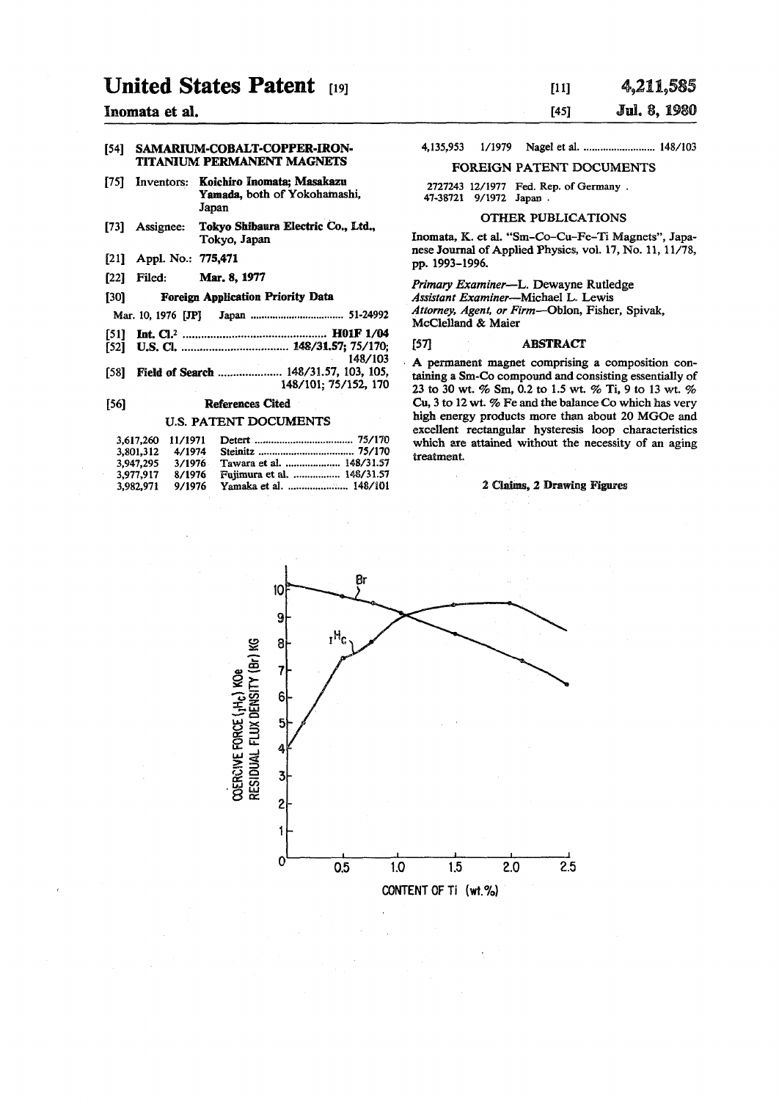# **United States Patent [19]**

## **[54] SAMARIUM-COBALT-COPPER-IRON-TITANIUM PERMANENT MAGNETS**

- **[75] Inventors: Koichiro Inomata; Masakazu**  Yamada, both of Yokohamashi, **Japan**
- **[73] Assignee: Tokyo Shibaura Electric Co., Ltd., Tokyo, Japan**
- **[21] Appl. No.: 775,471**
- **[22] Filed: Mar. 8,1977**

#### **[30] Foreign Application Priority Data**

- **Mar. 10, 1976 [JP] Japan 51-24992**
- **[51] Int. CI.<sup>2</sup> H01F1/Q4**
- **[52] U.S. 0 148/31.57; 75/170; 148/103**
- [58] **Field of Search .................... 148/31.57, 103, 105, 148/101; 75/152, 170**

#### **[56] References Cited**

#### **U.S. PATENT DOCUMENTS**

| 3.617.260 11/1971 |        |                            |
|-------------------|--------|----------------------------|
| 3.801.312         | 4/1974 |                            |
| 3.947.295         | 3/1976 | Tawara et al.  148/31.57   |
| 3.977.917         | 8/1976 | Fujimura et al.  148/31.57 |
| 3.982.971         | 9/1976 | Yamaka et al.  148/101     |

## 4,211,585  $[11]$ **Inomata et al. [45] Jul.<sup>8</sup> , 1980**

**4,135,953** 1/1979 Nagel et al. ........................... 148/103

## **FOREIGN PATENT DOCUMENTS**

**2727243 12/1977 Fed. Rep. of Germany . 47-38721 9/1972 Japan .** 

## **OTHER PUBLICATIONS**

**Inomata, K. et al. "Sm-Co-Cu-Fe-Ti Magnets", Japanese Journal of Applied Physics, vol. 17, No. 11,11/78, pp. 1993-1996.** 

*Primary Examiner***—L. Dewayne Rutledge**  *Assistant Examiner***—Michael L. Lewis**  *Attorney, Agent, or Firm***—Obion, Fisher, Spivak, McClelland & Maier** 

#### **[57] ABSTRACT**

**A permanent magnet comprising a composition containing a Sm-Co compound and consisting essentially of 23 to 30 wt. % Sm, 0.2 to 1.5 wt. % Ti, 9 to 13 wt. % Cu, 3 to 12 wt. % Fe and the balance Co which has very high energy products more than about 20 MGOe and excellent rectangular hysteresis loop characteristics which are attained without the necessity of an aging treatment.** 

#### **2 Claims, 2 Drawing Figures**

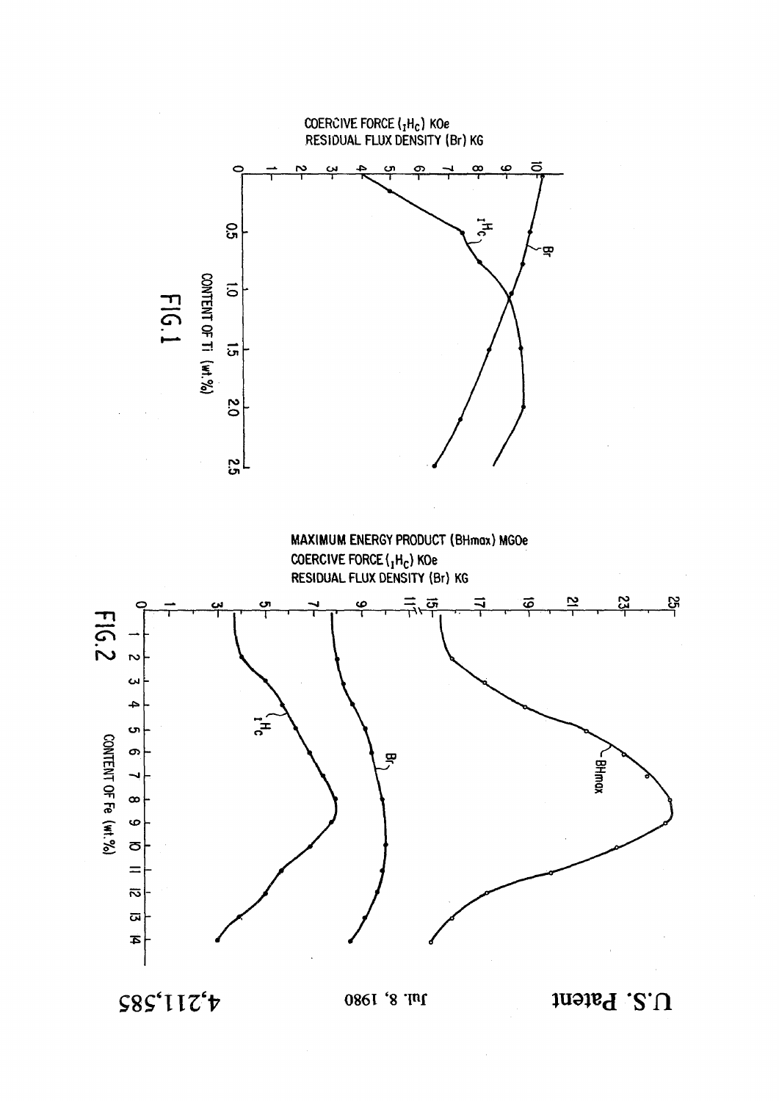

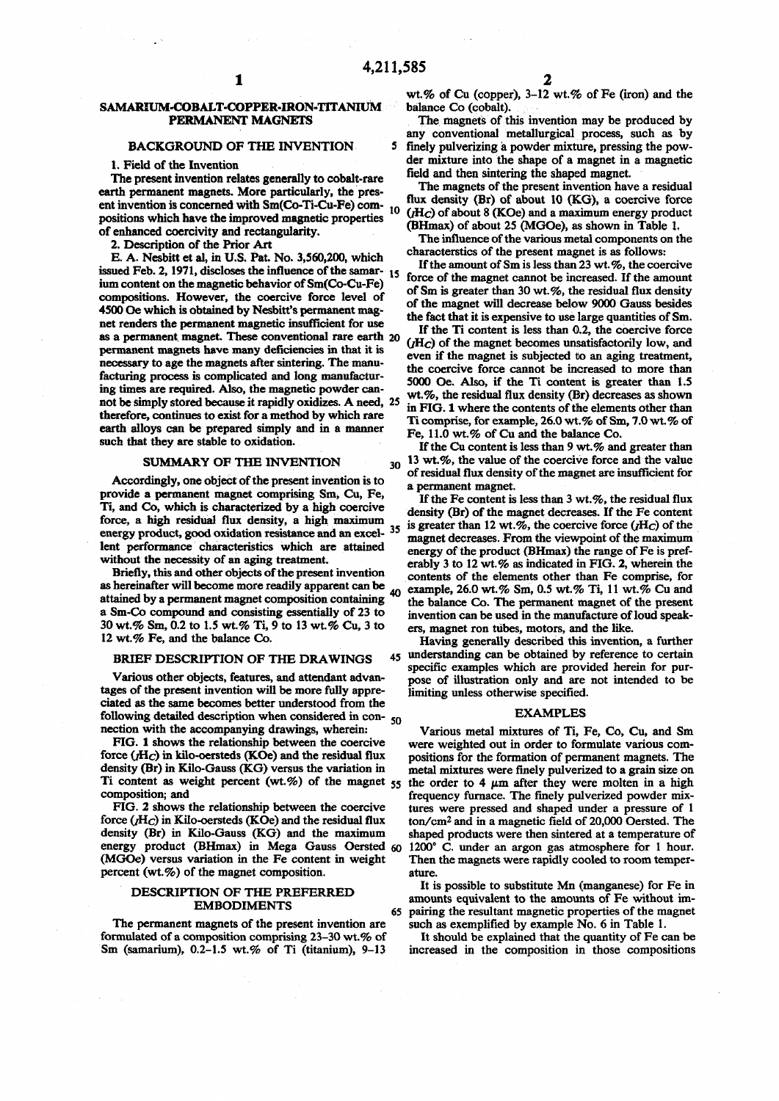5

# SAMARIUM-COBALT-COPPER-IRON-TITANIUM PERMANENT MAGNETS

## **BACKGROUND OF THE INVENTION**

1. Field of the Invention

The present invention relates generally to cobalt-rare earth permanent magnets. More particularly, the present invention is concerned with Sm(Co-Ti-Cu-Fe) com- 10 positions which have the improved magnetic properties of enhanced coercivity and rectangularity.

2. Description of the Prior Art

E. A. Nesbitt et al, in U.S. Pat. No. 3,560,200, which issued Feb. 2, 1971, discloses the influence of the samar-15 ium content on the magnetic behavior of Sm(Co-Cu-Fe) compositions. However, the coercive force level of 4500 Oe which is obtained by Nesbitt's permanent magnet renders the permanent magnetic insufficient for use as a permanent magnet. These conventional rare earth 20 permanent magnets have many deficiencies in that it is necessary to age the magnets after sintering. The manufacturing process is complicated and long manufacturing times are required. Also, the magnetic powder cannot be simply stored because it rapidly oxidizes. A need, 25 therefore, continues to exist for a method by which rare earth alloys can be prepared simply and in a manner such that they are stable to oxidation.

#### SUMMARY OF THE INVENTION

Accordingly, one object of the present invention is to provide a permanent magnet comprising Sm, Cu, Fe, Ti, and Co, which is characterized by a high coercive force, a high residual flux density, a high maximum energy product, good oxidation resistance and an excel- 35 lent performance characteristics which are attained without the necessity of an aging treatment.

Briefly, this and other objects of the present invention as hereinafter will become more readily apparent can be 40 attained by a permanent magnet composition containing a Sm-Co compound and consisting essentially of 23 to 30 wt.% Sm, 0.2 to 1.5 wt.% Ti, 9 to 13 wt.% Cu, 3 to 12 wt.% Fe, and the balance Co.

#### BRIEF DESCRIPTION OF THE DRAWINGS

Various other objects, features, and attendant advantages of the present invention will be more fully appreciated as the same becomes better understood from the following detailed description when considered in con-50 nection with the accompanying drawings, wherein:

FIG. 1 shows the relationship between the coercive force  $(H_C)$  in kilo-oersteds (KOe) and the residual flux density (Br) in Kilo-Gauss (KG) versus the variation in Ti content as weight percent (wt.%) of the magnet  $55$ composition: and

FIG. 2 shows the relationship between the coercive force  $(H_C)$  in Kilo-oersteds (KOe) and the residual flux density (Br) in Kilo-Gauss (KG) and the maximum energy product (BHmax) in Mega Gauss Oersted 60 (MGOe) versus variation in the Fe content in weight percent  $(wt.\%)$  of the magnet composition.

#### DESCRIPTION OF THE PREFERRED **EMBODIMENTS**

65

The permanent magnets of the present invention are formulated of a composition comprising 23-30 wt.% of Sm (samarium), 0.2-1.5 wt.% of Ti (titanium), 9-13

wt.% of Cu (copper), 3-12 wt.% of Fe (iron) and the balance Co (cobalt).

The magnets of this invention may be produced by any conventional metallurgical process, such as by finely pulverizing a powder mixture, pressing the powder mixture into the shape of a magnet in a magnetic field and then sintering the shaped magnet.

The magnets of the present invention have a residual flux density (Br) of about 10 (KG), a coercive force  $(H<sub>C</sub>)$  of about 8 (KOe) and a maximum energy product (BHmax) of about 25 (MGOe), as shown in Table 1.

The influence of the various metal components on the characterstics of the present magnet is as follows:

If the amount of Sm is less than 23 wt.%, the coercive force of the magnet cannot be increased. If the amount of Sm is greater than 30 wt.%, the residual flux density of the magnet will decrease below 9000 Gauss besides the fact that it is expensive to use large quantities of Sm.

If the Ti content is less than 0.2, the coercive force  $(H_C)$  of the magnet becomes unsatisfactorily low, and even if the magnet is subjected to an aging treatment, the coercive force cannot be increased to more than 5000 Oe. Also, if the Ti content is greater than 1.5 wt.%, the residual flux density (Br) decreases as shown in FIG. 1 where the contents of the elements other than Ti comprise, for example, 26.0 wt.% of Sm, 7.0 wt.% of Fe, 11.0 wt.% of Cu and the balance Co.

If the Cu content is less than 9 wt.% and greater than 30 13 wt.%, the value of the coercive force and the value of residual flux density of the magnet are insufficient for a permanent magnet.

If the Fe content is less than 3 wt.%, the residual flux density (Br) of the magnet decreases. If the Fe content is greater than 12 wt.%, the coercive force  $(H_C)$  of the magnet decreases. From the viewpoint of the maximum energy of the product (BHmax) the range of Fe is preferably 3 to 12 wt.% as indicated in FIG. 2, wherein the contents of the elements other than Fe comprise, for example, 26.0 wt.% Sm, 0.5 wt.% Ti, 11 wt.% Cu and the balance Co. The permanent magnet of the present invention can be used in the manufacture of loud speakers, magnet ron tubes, motors, and the like.

Having generally described this invention, a further 45 understanding can be obtained by reference to certain specific examples which are provided herein for purpose of illustration only and are not intended to be limiting unless otherwise specified.

#### **EXAMPLES**

Various metal mixtures of Ti, Fe, Co, Cu, and Sm were weighted out in order to formulate various compositions for the formation of permanent magnets. The metal mixtures were finely pulverized to a grain size on the order to 4 um after they were molten in a high frequency furnace. The finely pulverized powder mixtures were pressed and shaped under a pressure of 1 ton/cm<sup>2</sup> and in a magnetic field of 20,000 Oersted. The shaped products were then sintered at a temperature of 1200° C. under an argon gas atmosphere for 1 hour. Then the magnets were rapidly cooled to room temperature.

It is possible to substitute Mn (manganese) for Fe in amounts equivalent to the amounts of Fe without impairing the resultant magnetic properties of the magnet such as exemplified by example No. 6 in Table 1.

It should be explained that the quantity of Fe can be increased in the composition in those compositions